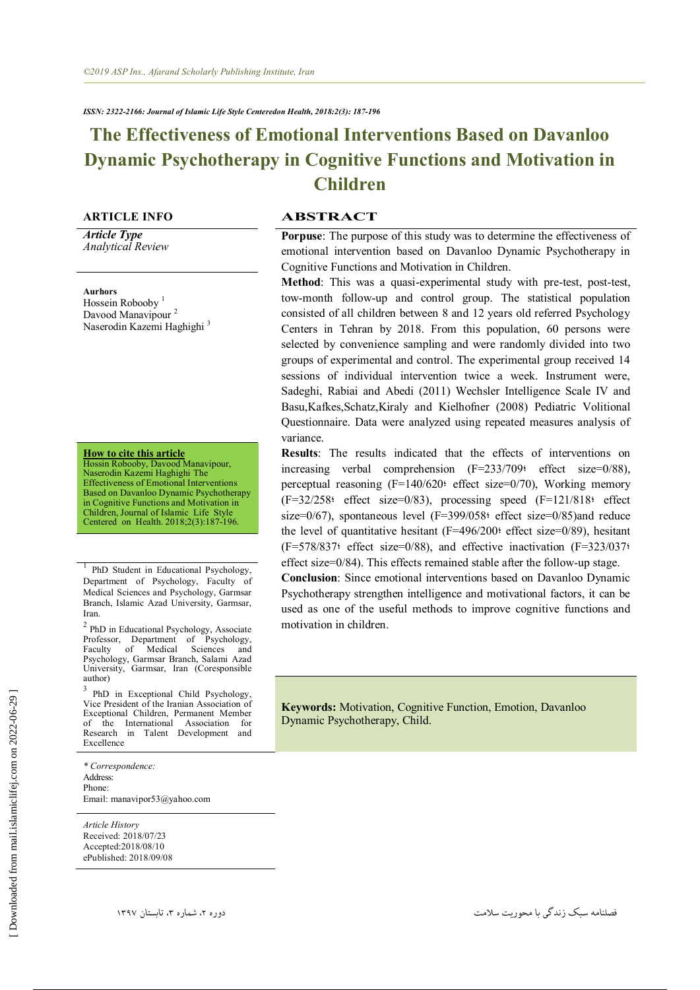# **The Effectiveness of Emotional Interventions Based on Davanloo Dynamic Psychotherapy in Cognitive Functions and Motivation in Children**

*Article Type Analytical Review*

**Aurhors** Hossein Robooby<sup>1</sup> Davood Manavipour<sup>2</sup> Naserodin Kazemi Haghighi<sup>3</sup>

**How to cite this article**

Hossin Robooby, Davood Manavipour, Naserodin Kazemi Haghighi The Effectiveness of Emotional Interventions Based on Davanloo Dynamic Psychotherapy in Cognitive Functions and Motivation in Children, Journal of Islamic Life Style Centered on Health. 2018;2(3):187-196.

1 PhD Student in Educational Psychology, Department of Psychology, Faculty of Medical Sciences and Psychology, Garmsar Branch, Islamic Azad University, Garmsar, Iran.

<sup>2</sup> PhD in Educational Psychology, Associate Professor, Department of Psychology, Professor, Department of Psychology,<br>Faculty of Medical Sciences and Psychology, Garmsar Branch, Salami Azad University, Garmsar, Iran (Coresponsible author)

<sup>3</sup> PhD in Exceptional Child Psychology, Vice President of the Iranian Association of Exceptional Children, Permanent Member of the International Association for Research in Talent Development and Excellence

*\* Correspondence:*  Address: Phone: Email: manavipor53@yahoo.com

*Article History* Received: 2018/07/23 Accepted:2018/08/10 ePublished: 2018/09/08

### **ARTICLE INFO ABSTRACT**

**Porpuse**: The purpose of this study was to determine the effectiveness of emotional intervention based on Davanloo Dynamic Psychotherapy in Cognitive Functions and Motivation in Children.

**Method**: This was a quasi-experimental study with pre-test, post-test, tow-month follow-up and control group. The statistical population consisted of all children between 8 and 12 years old referred Psychology Centers in Tehran by 2018. From this population, 60 persons were selected by convenience sampling and were randomly divided into two groups of experimental and control. The experimental group received 14 sessions of individual intervention twice a week. Instrument were, Sadeghi, Rabiai and Abedi (2011) Wechsler Intelligence Scale IV and Basu,Kafkes,Schatz,Kiraly and Kielhofner (2008) Pediatric Volitional Questionnaire. Data were analyzed using repeated measures analysis of variance.

**Results**: The results indicated that the effects of interventions on increasing verbal comprehension (F=233/709؛ effect size=0/88), perceptual reasoning (F=140/620؛ effect size=0/70), Working memory (F=32/258؛ effect size=0/83), processing speed (F=121/818؛ effect size=0/67), spontaneous level (F=399/058 effect size=0/85)and reduce the level of quantitative hesitant  $(F=496/200)$ : effect size=0/89), hesitant (F=578/837؛ effect size=0/88), and effective inactivation (F=323/037؛ effect size=0/84). This effects remained stable after the follow-up stage.

**Conclusion**: Since emotional interventions based on Davanloo Dynamic Psychotherapy strengthen intelligence and motivational factors, it can be used as one of the useful methods to improve cognitive functions and motivation in children.

**Keywords:** Motivation, Cognitive Function, Emotion, Davanloo Dynamic Psychotherapy, Child.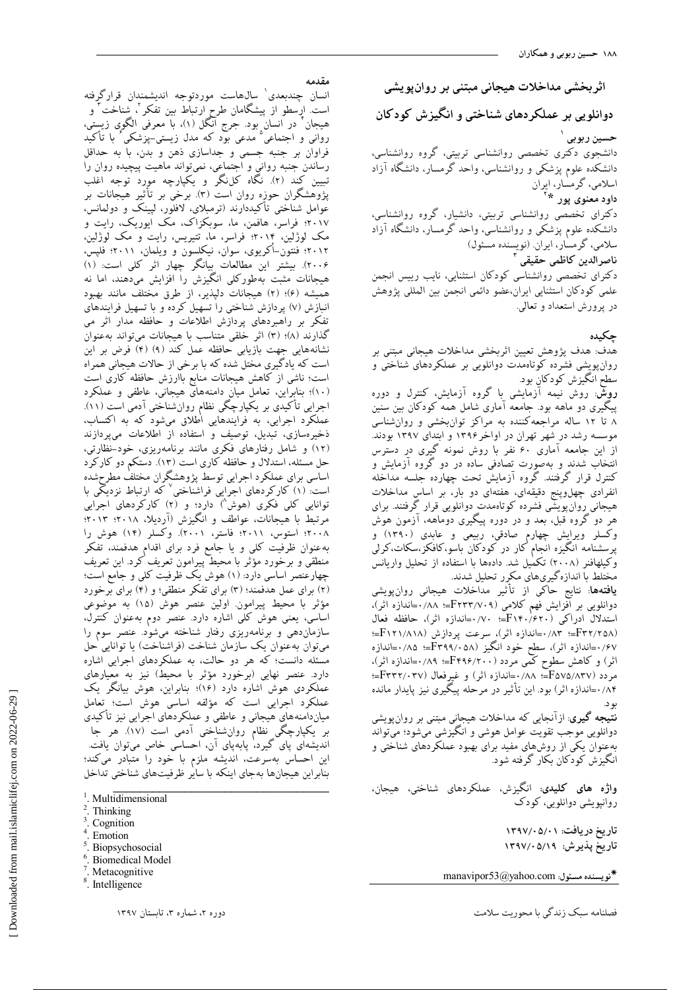**اثزبخطی هذاخالت ّیجبًی هبتٌی بز رٍاىپَیطی**

**دٍاًلَیی بز ػولکزدّبی ضٌبختی ٍ اًگیشش کَدکبى**

**حسیي ربَبی 1** دانشجوی دکتری تخصصی روانشناسی تربیتی، گروه روانشناسی، دانشکده علوم پزشکی و روانشناسی، واحد گرمسار، دانشگاه آزاد اسلامی، گرمسار، ایران **2 داٍد هؼٌَی پَر \*** دکترای تخصصی روانشناسی تربیتی، دانشیار، گروه روانشناسی، دانشکده علوم پزشکی و روانشناسی، واحد گرمسار، دانشگاه آزاد سلامی، گرمسار، ایران (نویسنده مسئول)

**3 ًبصزالذیي کبظوی حقیقی** دکترای تخصصی روانشناسی کودکان استثنایی، نایب رییس انجمن علمي كودكان استثنايي ايران،عضو دائمي انجمن بين المللي پژوهش در پرورش استعداد و تعالي.

**چکیذُ**

هدف: هدف پژوهش تعیین اثربخشی مداخلات هیجانی مبتنی بر روانِ پویشی فشرده کوتاهمدت دوانلویی بر عملکردهای شناختی و سطح انگيزش كودكان بود.

**روشٌ**: روش نیمه آزمایشی با گروه آزمایش، كنترل و دوره پیگیری دو ماهه بوِد. جامعه آماری شامل همه کودکان بین سنین ۸ تا ۱۲ ساله مراجعه كننده به مراكز توانبخشى و روانشناسى موسسه رشد در شهر تهران در اواخر۱۳۹۶ و ابتدای ۱۳۹۷ بودند. از اين جِامعه آماري ۶۰ نفر با روش نمونه گيري در دسترس انتخاب شدند و بهصورت تصادفی ساده در دو گروه ازمایش و کنترل قرار گرفتند. گروه آزمایش تحت چهارده جلسه مداخله انفرادی چهلوپنج دقیقهای، هفتهای دو بار، بر اساس مداخلات هیجانی روانپویشّی فشرده کوتاهمدت دوانلویی قرار گرفتند. برای هر دو گروه قبل، بعد و در دوره پیگیری دوماهه، آزمون هوش وکسلر ویرایش چهارم صادقی، ربیعی و عابدی (۱۳۹۰) و پرِسشنامه انگیزه انجام کار در کودکان باسو،کافکز،سکات،کرلی وكيلهافنر (٢٠٠٨) تكمُّيل شدٍّ دادهها با استفاده از تحليل واريانس مختلط با اندازهگیریهای مکرر تحلیل شدند.

**یافتهها**: نتایج حاکی از تأثیر مداخلات هیجانی روانپویشی دوانلویی بر آفزایش فهم كلامی (F۲۳۳/۷۰۹=اندازه اثر)،<br>. استدلال ادراكي F۱۴۰/6۲۰)∺؛ ۰/۷۰=اندازه آثر)، حافظه فعال )32/258F;؛ 0/83;اًساظُ اثط(، ؾطػت پطزاظـ )121/818F;؛ ۰/۶۷=اندازه اثر)، سُطِح خُود انگیز (۴۳۹۹/۰۵۸=اندازه اثر) و کاهش سطوح کمی مردد (۴۴۹۶/۲۰۰=اندازه اثر)،<br>. هردد (F۳۲۲/۰۳۷؛=اندازه اثر) و غیرفعال (F۳۳۲/۰۳۷؛=؛ ۰/۸۴=اندازه اثر) بود. اين تأثير در مرحله پيگيرى نيز پايدار مانده ثَز.

**نتیجِه گیری**: ازانجایی که مداخلات هیجانِی مبتنی بر روان $بویشی$ دوانلویی موجب تقویت عوامل هوشی و انگیزشی میشود؛ میتواند بهعنوان یکی از روشهای مفید برای بهبود عملکردهای شناختی و انگیزش کودکان بکار گرفته شود.

**واژه های کلیدی:** انگیزش، عملکردهای شناختی، هیجان، روانپویشى دوانلویى، كودك

> **تبریخ دریبفت: 1331/05/01 تبریخ پذیزش: 1331/05/13**

**ًَیسٌذُ هسئَل:** com.yahoo@53manavipor

كهلٌبهِ ؾجي ظًسگٖ ثب هحَضٗت ؾالهت زٍضُ ،2 قوبضُ ،3 تبثؿتبى 1397

**هقذهِ**

1 اًؿبى چٌسثؼسٕ ؾبلّبؾت هَضزتَخِ اًسٗكوٌساى هطاضگطكتِ است. ارسطو از پیشگامان طرح ارتباط بین تفکر <sup>ت</sup>ا شناخت ٔ و هیجان ٔ در انسان بود. جرج آنگل (۱)، با معرفی الگویِ زیستی، روانی و اجتماعی<sup>۵</sup> مدعی بود که مدل زیستی–پزشکی<sup>۶</sup> با تأکید فراوان بر جنبه جِسمي و جِداسازي ذهن و بدن، با به حداقل رساندن جنبه روانى و اجتماعى، نمىتواند ماهيت پيچيده روان را تبيين كند (٢). نگاه كلنگر و يكپارچِه مورد توجِه اغلب پژوهشگران حوزه روان است (٣). برخی بر تأثیر هیجانات بر عوامل شناختی تأکیددارند (ترمبلای، لافلور، لپینک و دولمانس، ۲۰۱۷؛ فراسر، هافمن، ما، سوبكزاک، مک ايوريک، رايت و مک لوژلين، ۲۰۱۴؛ فراسر، ما، تتيريس، رايت و مک لوژلين، ٢٠١٢؛ فنتون–أكريوى، سوان، نيكلسون و ويلمان، ٢٠١١؛ فلپس، 2006(. ث٘كتط اٗي هُبلؼبت ث٘بًگط چْبض اثط ًلٖ اؾت: )1( هیجانات مثبت بهطورکلی انگیزش را افزایش میدهند، اما نه هميشه (۶)؛ (۲) هيجانات دليذير، از طرق مختلف مانند بهبود انبازش (v) پردازش شناختی را تسهیل كرده و با تسهیل فرایندهای تفكر بر راهبردهاى پردازش اطلاعات و حافظه مدار اثر مى گذارند (٨)؛ (٣) اثر خلقی متناسب با هیجانات میتواند بهعنوان نشانههايي جهت بازيابي حافظه عمل كند (٩) (۴) فُرض بر اين است که یادگیری مختل شده که با برخی از حالات هیجانی همراه است؛ ناشی از کاهش هیجانات منابع باارزش حافظه کاری است (١٠)؛ بنابراين، تعامل ميان دامنههايّ هيجاني، عاطفي و عملكرد اجرایی تأکیدی بر یکپارچگی نظام روانشناختی آدمی است (۱۱). عملکرد اجرایی، به فرایندهایی اُطلاق میشود که به اکتساب، ذخيرهسازي، تبديل، توصيف و استفاده از اطلاعات مېپردازند (١٢) و شامل رفتارهای فکری مانند برنامهریزی، خود-نظارتی، حل مسئله، استدلال و حافظه كارى است (١٣). دستكم دو كاركرد اساسی برای عملکرد اجرایی توسط یژوهشگران مختلف مطرحشده است: (١) كاركِردهاي اجراييّ فراشناختي<sup>٬</sup> كه ارتباط نزديكي با توانایی کلی فکری (هوش<sup>^</sup>) دارد؛ و (۲ٖ) کارکردهای اجرایی مرتبط با هیجانات، عواطف و انگیزش (آردیلا، ۲۰۱۸؛ ۲۰۱۳؛ ٢٠٠٨؛ استوس، ٢٠١١؛ فاستر، ٢٠٠١). وكسلر (١۴) هوش را به عنوان ظرفیت كلی و یا جامع فرد برای اقدام هدفمند، تفكر منطقى و برخورد مؤثر با محيطؔ پيرامون تعريف کرد. اين تعريف چهارعنصر اساسي دارد: (١) هوش يک ظرفيت کلي و جامع است؛ (٢) برای عمل هدفمند؛ (٣) برای تفکر منطقی؛ و (۴) برای برخورد مؤثر با محيط پيرامون اولين عنصر هوش (١۵) به موضوعى اساسی، یعنی هوش کلی اشاره دارد. عنصر دوم بهعنوان کنترل، سازمانِدهی و برنامهریزی رفتار شناخته میشود. عنصر سوم را میتوان بهعنوان یک سازمان شناخت (فراشناخت) یا توانایی حل مسئله دانست؛ که هر دو حالت، به عملکردهای اجرایی اشاره دارد. عنصر نهایی (برخورد مؤثر با محیط) نیز به معیارهای عملکردي هوش اشاره دارد (۱۶)؛ بنابراين، هوش بيانگر يک عملکرد اجرایی است که مؤلفه اساسی هوش است؛ تعامل میازدامنههای هیجانی و عاطفی و عملکردهای اجرایی نیز تأکیدی بر یکپارچگی ٍنظام روانٴناختی آدمی است (۱۷). هر جا اندیشەای پای گیرد، پابەپای آن، احساسی خاص میتوان یافت. اين احساس بەسرعت، انديشه ملزم با خود را متبادر مىكند؛ بنابراين هيجانها بهجاي اينكه با ساير ظرفيتهاى شناختى تداخل

- <sup>1</sup>. Multidimensional
- 2 . Thinking
- 3 . Cognition
- 4 . Emotion 5
- . Biopsychosocial 6
- . Biomedical Model
- 7 . Metacognitive
- 8 . Intelligence

\_\_\_\_\_\_\_\_\_\_\_\_\_\_\_\_\_\_\_\_\_\_\_\_\_\_\_\_\_\_\_\_\_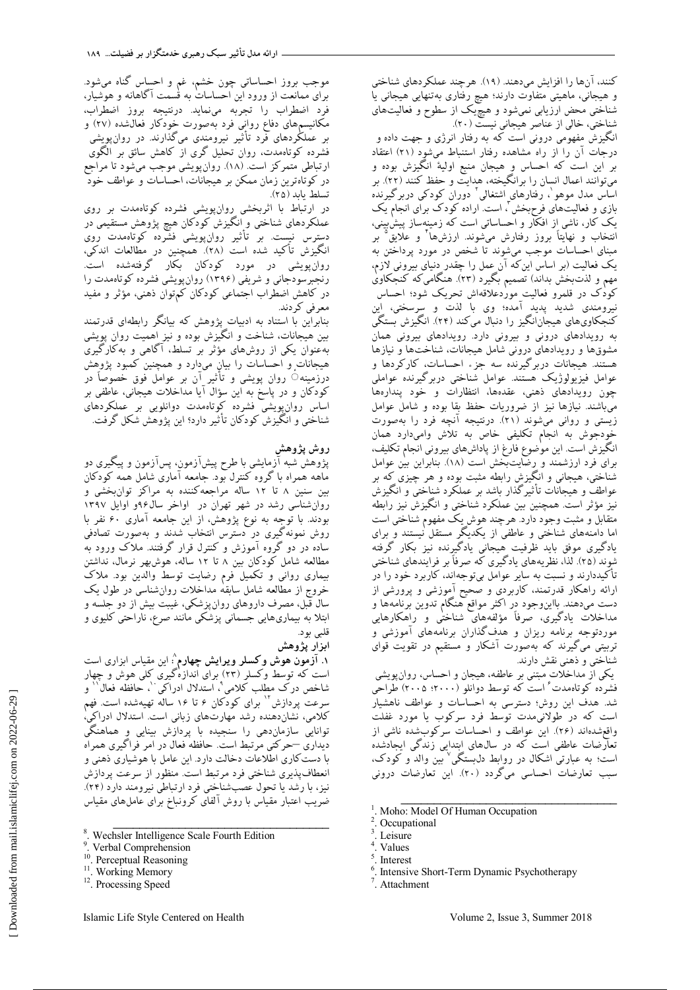کنند، آنها را افزایش میدهند. (۱۹). هرچند عملکردهای شناختی و هیجانی، ماهیتی متفاوت دارند؛ هیچ رفتاری بهتنهایی هیجانی یا شناختی محض ارزیابی نمیشود و هیچّیک از سطوح و فعالیتهای شناختی، خالی از عناصر هیجانی نیست (۲۰).

انگیزش مفهومی درونی است که به رفتار انرژی و جهت داده و درجات آن را از راه مشاهده رفتار استنباط میشود (۲۱) اعتقاد بر اين است كه احساس وٍ هيجان منبع اوليهٔ انگيزش بوده و میتوانند اعمال انسان را برانگیخته، هدایت و حفظ کنند (۲۲) بر ساس مدل موهو`، رفتارهای اشتغالی<sup>٬</sup> دوران کودکی دربرگیرنده بازی و فعالیت های فرح بخش ً، است اراده کودک برای انجام یک یک کار، ناشی از افکار و احساساتی است که زمینهساز پیشٰبینی، انتخاب و نهايتاً بروز رفتارش مىشوند. ارزشها<sup>ء</sup>ٌ و علايق<sup>°</sup> بر مبنای احساسات موجب میشوند تا شخص در مورد پرداختن به يک فعاليت (بر اساس اينکه آن عمل را چقدر دنياى بيرونى لازم، مهم و لذتبخش بداند) تصمیم بگیرد (۲۳). هنگامیکه کنجکاویٰ كودُک در قلمرو فعاليت مورْدعلاقهاش تحريک شود؛ احساس نيرومندي شديد پديد آمده؛ وي با لذت و سرسختي، اين کنجکاویهای هیجانانگیز را دنبال میکند (۲۴). انگیزش بستگی به رویدادهای درونی و بیرونی دارد. رویدادهای بیرونی همان مشوقها و رويدادهاى دروني شامل هيجانات، شناختها و نيازها هستند. هیجانات دربرگیرنده سه جزء احساسات، کارکردها و عوامل فيزيولوژيک هستند. عوامل شناختې دربرگيرنده عواملې چون رویدادهای ذهنی، عقدهها، انتظارات و خود پندارهها مّ باشند. نبازها نبز از ضروريات حفظ بقا بوده و شامل عوامل زیستی و روانی میشوند (۲۱). درنتیجِه آنچِه فرد را بهصورت خُودَجُوش به انجام تكليفي خاص به تلاش وامىدارد همان انگيزش است. اين موْضوع فارغ از پاداشهاى بيرونى انجام تكليف، برای فرد ارزشمند و رضاّيتّبخش است (١٨). بنابراين بيْن عوامل شناختی، هیجانی و انگیزش رابطه مثبت بوده و هر چیزی که بر عواطف و هیجانات تأثیرگذار باشد بر عملکرد شناختی و انگیزش نيز مؤثر است. همچنين بين عملكرد شناختې و انگيزش نيز رابطه متقابل و مثبت وجود دارد. هرچند هوش یک مفهوم شناختی است اما دامنههای شناختی و عاطفی از یکدیگر مستقل نیستند و برای یادگیری موفق باید ظرفیت هیجانی یادگیرنده نیز بکار گرفته شوند (٢۵). لذا، نظریههای یادگیری كه صرفاً بر فرایندهای شناختی تأكيددارند و نسبت به ساير عوامل بيتوجهاند، كاربرد خود را در ارائه راهکار قدرتمند، کاربردی و صحیح آموزشی و پرورشی از دست میدهند. بااینِوجود در اکثر مواقع هنگام تدوین برنامهها و مداخلات یادگیری، صرفاً مؤلفههای شناختٰی و راهکارهایی موردتوجِه برنامه ريزان و هدفگذاران برنامههاى آموزشى و تربیتی میگیرند که بهصورت آشکار و مستقیم در تقویت قوای شناختی و ذهنی نقش دارند.

یکی از مداخلات مبتنی بر عاطفه، هیجان و احساس، روانپویشی فشردّه كوتاهمدت ُ استّ كه توسط دوانلو (٢٠٠٠، ٢٠٠٥) طرّاحي شد. هدف اين روش؛ دسترسي به احساسات و عواطف ناهشيار ست كه در طولانىمدت توسط فرد سركوب يا مورد غفلت واقعشُدهاند (۲۶). اين عواطف و احساسات سرگوبشِده ناشي از تعارضات عاطفی است که در سال@ای اِبتدایی زندگی ایجادشده است؛ به عبارتی اشکال در روابط دل<sub>ا</sub>بستگی<sup>۷</sup> بین والد و کودک، سبب تعارضات احساسي ميگردد (٢٠). اين تعارضات دروني

\_\_\_\_\_\_\_\_\_\_\_\_\_\_\_\_\_\_\_\_\_\_\_\_\_\_\_\_\_\_\_\_\_

- . Interest
- 6 . Intensive Short-Term Dynamic Psychotherapy
- 7 . Attachment

موجب بروز احساساتی چون خشم، غم و احساس گناه میشود. برای ممانعت از ورود اين احساساتْ به قْسمت آگاهانه و هوشيار، فرد اضطراب را تجربه مى نمايد. درنتيجِه بروز اضطراب، مكانيسمهاي دفاع رواني فرد بهصورت خودكار فعالشده (٢٧) و بر عملکِردهای فرد تأثیر نیرومندی میگذارند. در روانپویشی فشرده گوتاهمدت، روان تحلیل گری از کاهش سائق بر الگوی ارتباطي متمركز است. (١٨). روانِپويشي موجب ميشود تا مراجع در كوتاهترين زمان ممكن بر هيجانات، احساسات و عواطف خودّ تسلط ىاىد (٢۵).

در ارتباط با اثربخشی روانپویشی فشرده كوتاهمدت بر روی عملکردهای شناختی و انگیزش کودکان هیچ پژوهش مستقیمی در دسترس نیست. بر تأثیر روانٖپویشی فشرده کوتاهمدت روی انگيزش تأكيد شده است (٢٨). همچنين در مطالعات اندكي، روانِ پویشی در مورد كودكان بكار گرفتهشده است. رنجبرسودجانی و شریفی (۱۳۹۶) روان پویشی فشرده كوتاهمدت را در کاهش اضطراب اجتماعی کودکان کم توان ذهنی، مؤثر و مفید معرفي كردند.

بنابراين با استناد به ادبيات پژوهش كه بيانگر رابطهای قدرتمند بین هیجانات، شناخت و انگیزش بوده و نیز اهمیت روان پویشی بهعنوان یکی از روشهای مؤثر بر تسلط، آگاهی و بهکارگیری هيجانات و احساسات را بيان مىدارد و همچنين كمبود پژوهش درزمینه۞ روان پویشی و تأثیر آن بر عوامل فوق خصوصاً در کودکان و در پاسخ به اين سؤال آيا مداخلات هيجانى، عاطفى بر اساس روانِ يويشي فشرده كوتاهمدت دوانلويي بر عملكردهاي شناختی و انگیزش کودکان تأثیر دارد؟ این پژوهش شکل گرفت.

# **رٍش پضٍّص**

پژوهش شبه آزمایشی با طرح پیشآزمون، پسآزمون و پیگیری دو ُّ نعه همراه با گروه کنترل بود. جامعه آماری شامل همه کودکان تِين سنين ٨ تا ١٢ ساله مراجعه كننده به مراكز توان بخشى و روان شناسی رشد در شهر تهران در اواخر سال۹۶و اوایل ۱۳۹۷ بودند. با توجه به نوع پژوهش، از اين جامعه آمارى ۶۰ نفر با روش نمونه گیری در دسترس انتخاب شدند و بهصورت تصادفی ساده در دو گروه آموزش و كنترل قرار گرفتند. ملاک ورود به مطالعه شامل كودكان بين ٨ تا ١٢ ساله، هوشبهر نرمال، نداشتن بيمارى روانى و تكميل فرم رضايت توسط والدين بود. ملاکّ خروج از مطالعه شامل سابقِهْ مداخلات روانشناسی در طول یک سال قبل، مصرف داروهای روان پزشکی، غیبت بیش از دو جلسه و ابتلا بِه بیماریهایی جِسمانی پزشکی مانند صرع، ناراحتی کلیوی و قلبي بود.

# ا**بزار پژوهش**

**۱. آزمون هوش وکسلر ویرایش چهارم**^ این مقیاس ابزاری است است که توسط وکسلر (۲۳) برای اندازهگیری کٖلی هوش و چِهار 9 قبذم زضى هُلت ًالهٖ ، اؾتسالل ازضاًٖ ، حبكظِ كؼبل <sup>10</sup> 11 ٍ سرعت پردازش `` برای کودکان ۶ تا ۱۶ ساله تهیهشده است. فهم كلامی، نشانِ دهنده رشد مهارتهای زبانی است. استدلال ادراکی، توانایی سازماندهی را سنجیده با پردازش بینایی وِ هماهنگی دیداری —حرکتی مرتبط است. حافظه فعال در امر فراگیری همراه باً دست کاري اطلاعات دخالت دارد. اين عامل با هوشياري ذهني و انعطافپذیری شناختی فرد مرتبط است. منظور از سرعت پردازش نیز، با رشد یا تحول عصبشناختی فرد ارتباطی نیرومند دارد (۲۴). ضريب اعتبار مقياس با روش ألفاى كرونباخ براى عاملهاى مقياس

\_\_\_\_\_\_\_\_\_\_\_\_\_\_\_\_\_\_\_\_\_\_\_\_\_\_\_\_\_\_\_\_\_

 [\[ Downloaded from mail.islamiclifej.com o](http://mail.islamiclifej.com/article-1-560-fa.html)n 2022-06-29 ] Downloaded from mail.islamiclifej.com on 2022-06-29

<sup>1</sup> . Moho: Model Of Human Occupation 2

<sup>.</sup> Occupational

<sup>3</sup> . Leisure

<sup>4</sup> . Values 5

<sup>8</sup> . Wechsler Intelligence Scale Fourth Edition

<sup>9</sup> . Verbal Comprehension

<sup>&</sup>lt;sup>10</sup>. Perceptual Reasoning

<sup>&</sup>lt;sup>11</sup>. Working Memory

<sup>&</sup>lt;sup>12</sup>. Processing Speed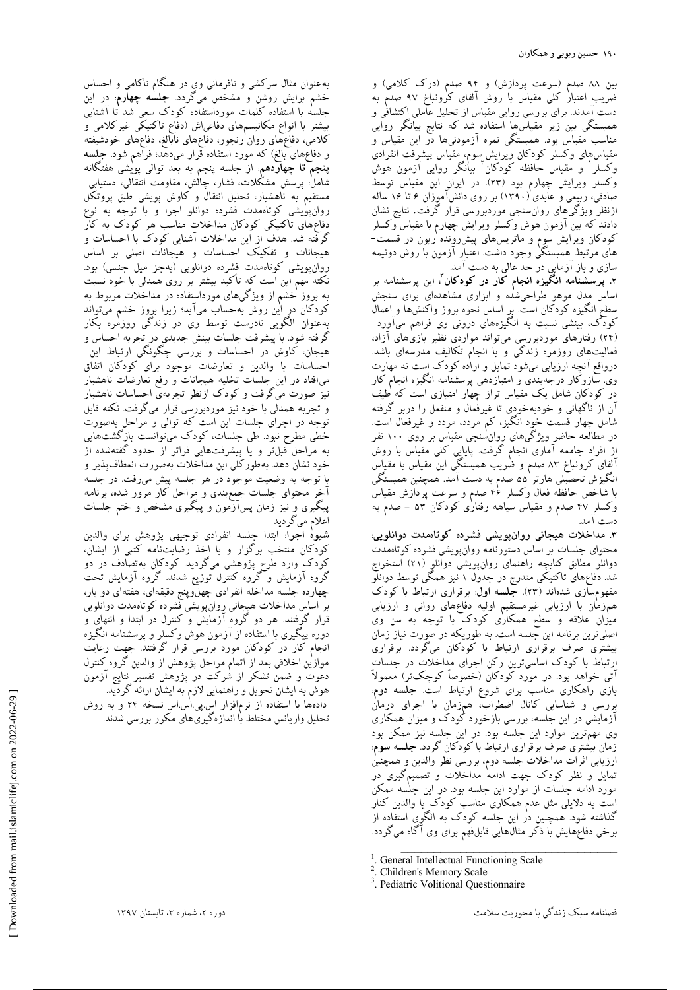بين ٨٨ صدم (سرعت پردازش) و ٩۴ صدم (درک کلامي) و ضريب اعتبار كلي مقياس با روش آلفاي كرونباخ ٩٧ صدم به دست آمدند. برای بررسی روایی مقیاس از تحلیل عآملی اکتشافی و همبستگی بین زیر مقیاسها استفاده شد که نتایج بیانگر روایی مناسب مقياس بود. همبستگي نمره آزمودنيها دُر اين مقياس و مقیاسهای وکسلر کودکان ویرایش سوم، مقیاس پیشرفت انفرادی<br>وکسلر ٰ و مقیاس حافظه کودکان ؑ بیانگر روایی آزمون هوش وكسلر ويرايش چهارم بود (٢٣). در ايران اين مقياس توسط صادقی، ربیعی و عابدی (۱۳۹۰) بر روی دانشآموزان ۶ تا ۱۶ ساله ازنظر ویژگی@ای روان $سنجی موردبررسی قرار گرفت. نتایج نشان$ دادند که بین آزمون هوش وکسلر ویرایش چهارم با مقیاس وکسلر کودکان ویرایش سوم و ماتریسهای پیشررونده ریون در قسمت-هاًى مرّتبطٌ همَبستگَىٰ وجود داشت. اعتبار آزمون با روش دونبيمه سازی و باز آزمایی در حد عالی به دست آمد.

۲. **پرسشنامه انگَيزه انجام کار در کودکان** ٔ: اين پرسشنامه بر اساس مِدل موهو طراحیشده و ابزاری مشاهدهای برای سنجش سُطَحِ انگیزه کودکان است. بر اساس نحوه بروز واکنشها و اِعمال<br>ـ کودک، بینشی نسبت به انگیزههای درونی وی فراهم میاورد (۲۴) رفتارهای موردبررسی میتواند مواردی نظیر بازی۵مای آزاد، فعالیتّهای روزمره زندگی و یا انجام تکالیف مدرسهای باشد. درواقع آنچِه ارزیابی میشود تمایل و اراده کودک است نه مهارت وی سازوکار درجِهبندی و امتیازدهی پرسشنامه انگیزه انجام کار در کودکان شامل یک مقیاس تراز چهار امتیازی است که طیف آن از ناگهانی و خودبهخودی تا غیرفعال و منفعل را دربر گرفته شامل چهار قسمت خود انگیز، کم مردد، مردد و غیرفعال است. در مطالعه حاضر ویژگیِهای روان سنجی مقیاس بر روی ۱۰۰ نفر از افراد جامعه اماری انجام گرفت. پایایی کلی مقیاس با روش آلفای کرونباخ ۸۳ صدم و ضریب همبستگی این مقیاس با مقیاس انگيزش تحصيلي هارتر ۵۵ صدم به دست آمد. همچنين همبستگی ب<br>با شاخص حافظه فعال وكسلر ¢۴ صدم و سرعت پردازش مقياس وکسلرِ ۴۷ صدم و مقیاس سیاهه رفتاری کودکان ۵۳ – صدم به دست آمد.

**.3 هذاخالت ّیجبًی رٍاىپَیطی فطزدُ کَتبُهذت دٍاًلَیی:** محتواى جلسات بر اساس دستورنامه روان پویشی فشرده کوتاهمدت دوانلو مطابق كتابچِه راهنماى روانپويشى دوانلوٍ (٢١) استخراج شد. دفاعهای تاکتیکی مندرج در جدول ۱ نیز همگی توسط دوانلو مفهومٖسازی شدهاند (۲۳). **جلسه اول**: برقراری ارتباط با کودک همّزمّان باً ارزيابى غيرمستقيم اوليه دفاعهاى روانى و ارزيابى میزان علاقه و سطح همکاری کودک با توجه به سن وی اصليّترين برنامه اين جلسه است. به طوريكه در صورت نياز زمان بیشتری صرف برقراری ارتباط با کودکان میگردد. برقراری ارتباط با كودک اساسىترين رکن اجراى مداخلات در جلسات آتی خواهد بود. در مورد کودکان (خصوصاً کوچکتر) معمولاً بازی راهکاری مناسب برای شروع ارتباط است. **جلسه دوم**: بررسی و شناسایی کانال اضطراب، همزمان با اجرای درمان ازمایشی در این جلسه، بررسی بازخورد کودک و میزان همکاری وی مهمترين موارد اين جلسه بود. در اين جلسه نيز ممكن بود زمان بیشتری صرف برقراری ارتباط با کودکان گردد. **جلسه سوم**: ارزيابي اثرات مداخلات جلسه دوم، بررسی نظر والدين وِ همچنين تمایل و نظر کودک جهت ادامه مداخلات و تصمیمگیری در مورد ادامه جلسات از موارد اين جلسه بود در اين جلسه ممكن است به دلایلی مثل عدم همکاری مناسب کودک یا والدین کنار گذاشته شود. همچنين دُر اين جِلسه کودک به الگوی استفاده از برخی دفاعٖهایش با ذکر مثال هایی قابل(فهم برای وی آگاه میگردد. \_\_\_\_\_\_\_\_\_\_\_\_\_\_\_\_\_\_\_\_\_\_\_\_\_\_\_\_\_\_\_\_\_

به عنوان مثال سركشي و نافرماني وي در هنگام ناكامي و احساس خشم برايش روشِن و مشخص مىگردِد. **جلسه چهارم**: دِر اين جلسه با استفاده کلمات مورداستفاده کودک سعی شد تا اشنایی بیشتر با انواع مکانیسمهای دفاعیاش (دفاع تاکتیکی غیرکلامی و كلامي، دفاعهّماي روان ْرنجور، دفاعهاى نابّالغ، دفاعهاى خودشيفته و دفاعهای بالغ) که مورد استفاده قرار میدهد؛ فراهم شود. **جلسه پنجم ّتا چهارّدهم**: از جلسه پنجم به بعد توالی پویشی هفتگانه شاملْ: پرسش مشكلات، فشار، چاڭش، مقاومت انتقالى، دستيابى مستقیم به ناهشیار، تحلیل انتقال و کاوش پویشی طبق پروتکل روانِ پوٰيشى كوتاهمدت فشرده دوانلو اجرا و با توجه به نوع دفاعِهای تاکتیکی کودکان مداخلات مناسب هر کودک به کار گرفّته شد. هدف از اين مداخلات آشنايي كودک با احساسات و هبجانات و تفکیک احساسات و هیجانات اصلی بر اساس روانِپویشی كوتاهمدت فشرده دوانلویی (بهجز میل جنسی) بود. نكته مهم اين است كه تأكيد بيشتر بر روى همدلي با خود نسبت به بروز خشم از ویژگیهای مورداستفاده در مداخلات مربوط به كودكان درِ اٰين روش بهحساب مىآيد؛ زيرا برِوز خشم مىتواند بهعنوان الگویی نادرست توسط وی در زندگی روزمٰره بکار گرفته شود. با پیشرفت جلسات بینش جدیدی در تجربه احساس و هيجان، کاوش در احساسات و بررسی چگونگی ارتباط اين احساسات با والدين و تعارضات موجود براى كودكان اتفاق میافتاد در اين جلسات تخليه هيجانات و رفع تعارضات ناهشيار نیز صورت میگرفت و کودک ازنظر تجربهی احساسات ناهشیار و تجربه همدلی با خود نیز موردبررسی قرار میگرفت. نکته قابل توجه در اجراى جلسات اين است كه توالي و مراحل بهصورت خُطی مطرح نبود. طی جلسات، کودک میتوانست بازگشتهایی به مراحل قبلتر و یا پیشرفتهایی فراتر از حدود گفتهشده از خود نشان دهد. بهطوركلي اين مداخلات بهصورت انعطاف پذير و با توجه به وضعیت موجود در هر جلسه پیش میرفت. در جلسه اخِر محتوای جلسات جیمع بندی و مِراحل کار مرور شده، برنامه پیگیری وِ نیز زمان پسآزَمون و پیگیری مشخص و ختم جلسات اعلام میگردید

**شیوهْ اجرا:** ابتدا جلسه انفرادی توجیهی پژوهش برای والدین كودكان منتخب برگزار و با اخذ رضايتنامه كتبى از ايشان، کودک وارد طرح پژوهشی میگردید. کودکان بهتصادف در دو گروه آزمایش و گروه کنترل توزیع شدند. گروه آزمایش تحت چهارده جلسه مداخله انفرادی چهلوپنج دقیقهای، هفتهای دو بار، بر اساسٍ مداخلات هیِجانی رِوانپویشی فشرده کوتاهمدت دوانلویی قرار گرِفتند. هر دو گروه ازمایش و کنترل در ابتدا و انتهاِی و دوره پیگیری با استفاده از ازمون هوش وکسلر و پرسشنامه انگیزه انجام كار در كودكان مورد بررسی قرار گرفتند. جهت رعایت موازین اخلاقی بعد از اتمام مراحل پژوهش از والدین گروه کنترل دعوت و ضمن تشكر از شُركت در پژوهش تفسير نتايج آزمون هوش به ایشان تحویل و راهنمایی لازم به ایشان ارائه گردید. دادهها با استفاده از نرمافزار اس پی اس اس نسخه ۲۴ و به روش . . . .<br>تحلیل واریانس مختلّط با اندازهگیریهای مکرر بررسی شدند.

<sup>&</sup>lt;sup>1</sup>. General Intellectual Functioning Scale

<sup>.</sup> Children's Memory Scale

<sup>3</sup> . Pediatric Volitional Questionnaire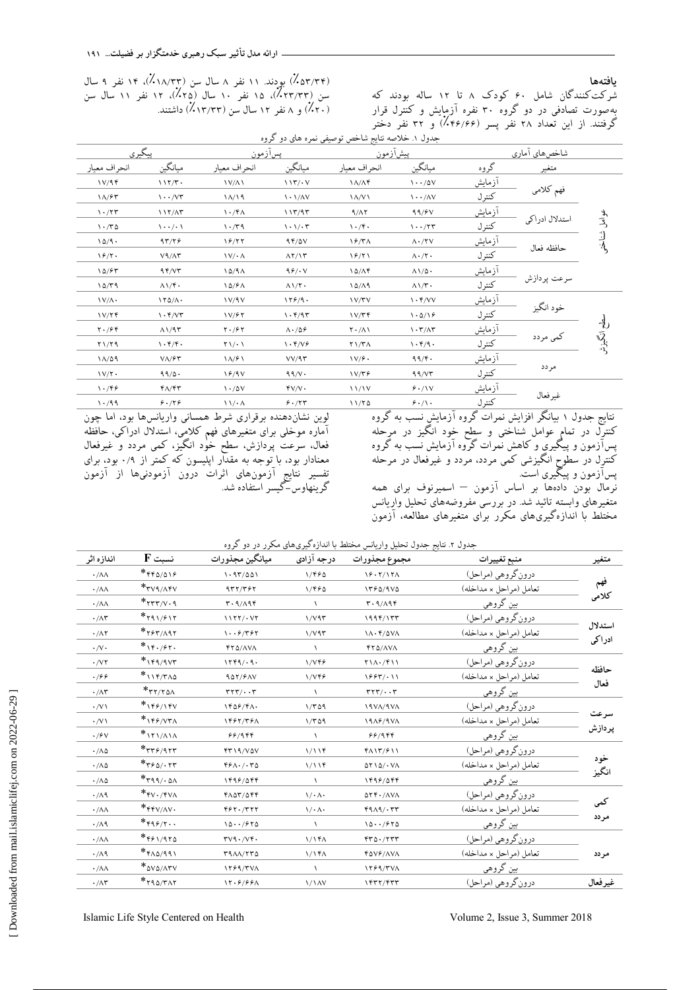**یبفتِّب**

شَركت كنندگان شامل ۶۰ كودك ۸ تا ۱۲ ساله بودند كه بِهِصورت تصادفی در دو گروه ۳۰ نفره آزمایش و کنترل قرار<br>ح گرفتنَد. از اين تعداد ٢٨ نفر پسر (۴۶/۶۶٪) و ٣٢ نفر دختر

(۵۳/۲۴٪) بودند. ۱۱ نفر ۸ سال سن (۱۸/۳۳٪)، ۱۴ نفر ۹ سال سن (٢٣/٣٣٪)، ١۵ نفر ١٠ سال (٢٥٪)، ١٢ نفر ١١ سال سن )٪20( ٍ 8 ًلط 12 ؾبل ؾي )٪13/33( زاقتٌس.

|                  |                |               |                                     | جدول ۱. خلاصه نتایج شاخص توصیفی نمره های دو کروه |                                              |                                           |                                               |                                           |
|------------------|----------------|---------------|-------------------------------------|--------------------------------------------------|----------------------------------------------|-------------------------------------------|-----------------------------------------------|-------------------------------------------|
|                  |                | شاخصهاي أماري |                                     | بيشآزمون                                         |                                              | پسآزمون                                   | پيگيري                                        |                                           |
|                  | متغير          | گروه          | ميانگين                             | انحراف معيار                                     | ميانگين                                      | انحر اف معبار                             | ميانگين                                       | انحراف معيار                              |
|                  |                | <u>آزمایش</u> | $\cdot \cdot / \Delta V$            | $\Lambda/\Lambda f$                              | $\binom{1}{r}$                               | <b>IV/AI</b>                              | 117/T                                         | V/94                                      |
|                  | فهم كلامى      | كنترل         | $\langle \cdots / \Delta V \rangle$ | $\lambda/\nu$                                    | $\lambda$ - $\lambda$ / $\Lambda$ V          | $\binom{1}{\sqrt{2}}$                     | $\cdots$ / $V\tau$                            | $\Lambda$ /۶۳                             |
|                  |                | <u>آزمایش</u> | 99/                                 | 9/17                                             | 117/97                                       | $\langle \cdot/\mathfrak{k} \rangle$      | $117/\Lambda$ ۳                               | $\mathcal{N} \cdot / \mathcal{N}$         |
| عوامل شناختر     | استدلال ادراكي | كنترل         | $\cdots$ /۲۳                        | $\langle \cdot/\mathfrak{r} \cdot$               | $\langle \cdot \rangle / \cdot \tau$         | 1.79                                      | $\backslash \cdot \cdot / \cdot \backslash$   | $\cdot$                                   |
|                  |                | آزمايش        | $\Lambda \cdot / \Upsilon V$        | $\frac{9}{4}$                                    | 94/0V                                        | 19/77                                     | 97/79                                         | $10/9$ .                                  |
|                  | حافظه فعال     | كنترل         | $\Lambda \cdot / \Upsilon$          | 19/71                                            | $\Lambda$ $\Upsilon$ / $\Upsilon$            | $\mathcal{N}/\mathcal{N}$                 | $V9/\Lambda$ ۳                                | 19/7.                                     |
|                  | سرعت يردازش    | <u>آزمایش</u> | $\Lambda \setminus \Delta$ .        | $10/\Lambda$ ۴                                   | 99/1V                                        | $\lambda \Delta / 9 \Lambda$              | 95/77                                         | 10/57                                     |
|                  |                | كنترل         | $\Lambda\setminus\gamma$ .          | 10/19                                            | $\Lambda \mathcal{N}$ .                      | 10/8A                                     | $\Lambda$ \/f .                               | 10/79                                     |
|                  | خود انگيز      | <u>آزمایش</u> | $\cdot$ $\sqrt{v}$                  | <b>IV/TV</b>                                     | 159/9.                                       | V/9V                                      | $\Gamma$                                      | $\Upsilon$                                |
|                  |                | كنترل         | 1.0/19                              | V/Tf                                             | $\mathcal{N} \cdot \mathcal{K}/9\mathcal{K}$ | V/FV                                      | $\cdot$ $\sqrt{v}$                            | 1 V/T f                                   |
| $\frac{1}{2}$    | کمی مردد       | <u>آزمایش</u> | $\cdot \tau/\Lambda \tau$           | $\mathsf{Y} \cdot / \Lambda$                     | $\Lambda \cdot / \Delta \mathcal{L}$         | $\mathbf{Y} \cdot \mathbf{19} \mathbf{Y}$ | $\Lambda$ $/95$                               | $\mathbf{Y} \cdot \mathbf{19} \mathbf{9}$ |
| انگیانی<br>منتها |                | كنترل         | $\cdot$ ۴/۹.                        | $\mathbf{Y}\setminus\mathbf{Y}\wedge$            | $\mathcal{N} \cdot \mathcal{K}/\mathcal{N}$  | $\mathbf{Y}\setminus\mathbf{Y}$           | $\mathcal{N} \cdot \mathcal{K}/\mathcal{K}$ . | Y1/Y9                                     |
|                  | مردد           | آزمايش        | 99/                                 | V/F.                                             | VV/97                                        | $\binom{1}{\sqrt{2}}$                     | $V/\sqrt{2}V$                                 | 11/09                                     |
|                  |                | كنترل         | 99/VT                               | V/Tf                                             | 99/V                                         | 19/9V                                     | 99/0.                                         | $1 V/Y$ .                                 |
|                  | غيرفعال        | آزمايش        | 9.1V                                | 11/1V                                            | fV/V                                         | $\frac{1.70V}{1.20V}$                     | $f \wedge / f \tau$                           | $\cdot$ /۴۶                               |
|                  |                | كنترل         | 9.11.                               | 11/70                                            | 9.75                                         | $\langle \ \rangle / \cdot \Lambda$       | 9.779                                         | $\cdot$ /99                               |
|                  |                |               |                                     |                                                  |                                              |                                           |                                               |                                           |

نتایج جدول ۱ بیانگر افزایش نمرات گروه ازمایش ٍنسب به گروه ی . . .<br>کنترِل در تمامٍ عوامل شناختی و سِطح خَود انگیز در مرحله پسآزمونَ و پیگیری و کاهش نُمرات گروه آزمایش نُسَبٌ به گَروه کنترِل در سطوحِ انگیزشی کمی مردد، مردد و غیرفعال در مرحله پسازمون و پیگیری است. .<br>نُرمال بُودن دادُهها بر اساس آزمون – اسمیرنوف برای همه متغیرهای وابسته تائید شد. در بررسی مفروضههای تحلیل واریانس مختلط با اندازهگیریهای مکرر برای متغیرهای مطالعه، آزمون

لوين نشانِ دهنده برقرارى شرط همسانى واريانسها بود، اما چون توین<br>آماره موخلی برای متغیرهای فهم کلامِی، استدلال ادراکی، حافظه فعال، سرعت پردازش، سطح خُوْد انگیز، كمی مردد و غیرفعال معنادار بود، با تِوجِه به مقدار اپلیسون که ِکمتر از ۰/۹ بود، برای تفسیر نتایج آزمونهای آثرات درون آزمودنیها از آزمون<br>ً گرینهاوس–گیسر استفاده شد.

| جدول ۲. نتایج جدول تحلیل واریانس مختلط با اندازهگیریهای مکرر در دو گروه |  |
|-------------------------------------------------------------------------|--|
|                                                                         |  |

| متغير   | منبع تغييرات               | مجموع مجذورات                                                        | درجه آزادی                       | ميانگين مجذورات                                                      | $F \nightharpoonup$ نسبت                            | اندازه اثر             |
|---------|----------------------------|----------------------------------------------------------------------|----------------------------------|----------------------------------------------------------------------|-----------------------------------------------------|------------------------|
|         | درون گروهي (مراحل)         | 19.7/17                                                              | 1/990                            | 1.97/001                                                             | $*$ $550/015$                                       | $\cdot/\lambda\Lambda$ |
| فهم     | تعامل (مراحل × مداخله)     | 1560/9V                                                              | 1/FFA                            | 977/797                                                              | $*_{\text{TV9/AfV}}$                                | $\cdot/\lambda\Lambda$ |
| كلامى   | <u>بین گروهی</u>           | r.9/A9f                                                              |                                  | $r.9/\Lambda$ 9 $r$                                                  | $*_{\tau\tau\tau/V}$ .                              | $\cdot/\lambda\Lambda$ |
|         | درون گروهي (مراحل)         | 1999/177                                                             | 1/V95                            | $1177/- V7$                                                          | $*$ rq $1/515$                                      | $\cdot/\wedge\tau$     |
| استدلال | تعامل (مراحل × مداخله)     | $1\Lambda \cdot \frac{6}{2}$ / $0\Lambda$                            | 1/V95                            | $\cdots$ $9/797$                                                     | $*$ ۲۶۳/ $\wedge$ ۹۲                                | $\cdot/\Lambda$ ٢      |
| ادراكى  | بین گروهی                  | FTD/AVA                                                              |                                  | <b>FTA/AVA</b>                                                       | $*_{14.75}$                                         | $\cdot/\vee\cdot$      |
|         | درون گروهي (مراحل)         | $Y \setminus \Lambda \cdot / \mathfrak{f} \setminus \Lambda$         | 1/VFF                            | 1779/0.9                                                             | $*$ $\gamma$ eq/qvr                                 | $\cdot$ /V $\tau$      |
| حافظه   | تعامل (مراحل x مداخله)     | 1997/11                                                              | 1/VFF                            | 907/7AV                                                              | $*$ \\f/r^^                                         | .799                   |
| فعال    | بین گروهی                  | $\mathsf{r}\mathsf{r}\mathsf{r}\mathsf{y}\mathsf{r}\cdots\mathsf{r}$ | $\sqrt{2}$                       | $\mathsf{r}\mathsf{r}\mathsf{r}\mathsf{y}\mathsf{r}\cdots\mathsf{r}$ | $*$ ۲۲/۲۵۸                                          | $\cdot/\wedge\tau$     |
|         | درون گروهي (مراحل)         | <b>ISVA/SVA</b>                                                      | 1/709                            | $YF\Delta F/F\Lambda$                                                | $*_{149/14V}$                                       | $\cdot$ /V \           |
| سرعت    | تعامل (مراحل x مداخله)     | $19A$ ۶/9VA                                                          | 1/709                            | 1487/781                                                             | $*$ 149/171                                         | $\cdot$ /V $\setminus$ |
| پردازش  | بین گروهی                  | 88/988                                                               |                                  | 88/988                                                               | $*$ $\frac{1}{\sqrt{1-\frac{1}{2}}}$                | $\cdot$ / $\epsilon$ v |
|         | درون گروهي (مراحل)         | $f \wedge \frac{1}{f} \mathcal{F} \wedge \frac{1}{f}$                | 1/119                            | FT19/VAV                                                             | $*$ rr $5/95$ rr                                    | $\cdot/\Lambda\Delta$  |
| خود     | تعامل (مراحل × مداخله)     | $\Delta Y \Delta / \Delta V \Delta$                                  | 1/119                            | $Yf \wedge \cdot / \cdot Y \wedge$                                   | $*_{\tau \circ \Delta \wedge \tau \tau}$            | $\cdot/\Lambda\Delta$  |
| انگيز   | بین گروهی                  | 1499/088                                                             | $\sqrt{2}$                       | 1499/088                                                             | $*$ rqq/ $\cdot$ $\alpha \wedge$                    | $\cdot/\Lambda\Delta$  |
|         | در <u>ون گروهي (مراحل)</u> | $\Delta \Upsilon \Upsilon \cdot / \Delta \text{V} \Lambda$           | $\setminus / \cdot \wedge \cdot$ | $Y\Lambda\Delta Y/\Delta YY$                                         | $*_{\mathsf{FV}\cdot/\mathsf{FV}\wedge}$            | $\cdot/\wedge$ ٩       |
| كمى     | تعامل (مراحل × مداخله)     | 49A9.57                                                              | $\setminus / \cdot \wedge \cdot$ | 497.7777                                                             | $*$ $*$ $*$ $V/\Lambda V$                           | $\cdot/\lambda\Lambda$ |
| مردد    | <u>بین گروهی</u>           | 10.7970                                                              | $\lambda$                        | 10.7970                                                              | $*_{\mathfrak{p}_1\mathfrak{s}/\mathfrak{r}\cdots}$ | $\cdot/\Lambda$ ٩      |
|         | درون گروهي (مراحل)         | $rr\Delta.7rrr$                                                      | 1/14                             | TV9.7V9.                                                             | $*$ ۴۶۱/۹۲۵                                         | $\cdot/\lambda\Lambda$ |
| مردد    | تعامل (مراحل × مداخله)     | FQV&/AVA                                                             | ۱/۱۴۸                            | TAAA/TTQ                                                             | $*_{\text{FAO}/991}$                                | $\cdot/\Lambda$ ٩      |
|         | بین گروهی                  | 1559/TVA                                                             |                                  | 1799/TVA                                                             | $*_{\Delta V\Delta/\Lambda\Upsilon V}$              | $\cdot/\lambda\Lambda$ |
| غيرفعال | درون گروهي (مراحل)         | 1477/777                                                             | <b>\/\AV</b>                     | 17.9/99A                                                             | $*$ raa/ <u>rar</u>                                 | $\cdot/\wedge\tau$     |
|         |                            |                                                                      |                                  |                                                                      |                                                     |                        |

Islamic Life Style Centered on Health Volume 2, Issue 3, Summer 2018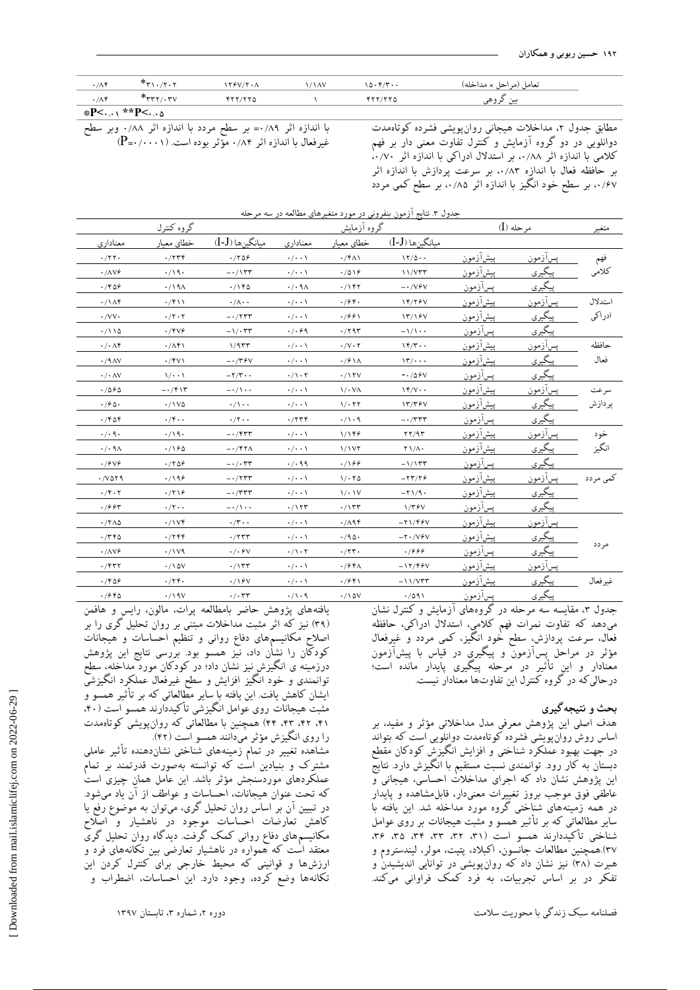| $\cdot/\Lambda f$ | $*_\mathsf{r}\cdot\mathsf{r}\cdot\mathsf{r}$ | $\frac{1}{2}$ | $\sqrt{2}$ | 10.977 | تعامل (مر احل x مداخله) |  |  |  |
|-------------------|----------------------------------------------|---------------|------------|--------|-------------------------|--|--|--|
| $\cdot/\Lambda f$ | $*$ $rr,rrv$                                 | YYY/YY        |            | YYY/YY | ىن ىروىسى               |  |  |  |
| *P<\ **P< \       |                                              |               |            |        |                         |  |  |  |

باً اندازه آثر ۰/۸۹= بر سطح مردد با اندازه آثر ۰/۸۸ وبر سطح غیرفعال با اندازه اثر ۰/۸۴ مؤثر بوده است. (P=۰/۰۰۰۱) مُطابق جدول ٢، مداخلات هيجاني روان پويشي فشرده كوتاهمدت دوانلویی در دو گروه آزمایش و كنترل تفاوت معنی دار بر فهم کلامی با اندازه اثر ۰٫/۸۸ بر استدلال ادراکی با اندازه اثر ۰٫/۷۰ بر حافظه فعال با اندازه ۸۳٪.، بر سرعت پردازش با اندازه اثر ۰/۶۷، بر سطح خُود انگیز با اندازه اثر ۰/۸۵، بر سطح کمی مردد

| جدول ۳. نتایج ازمون بنفرونی در مورد متغیرهای مطالعه در سه مرحله |                                                 |                           |                              |                                     |                                             |                  |                |          |  |
|-----------------------------------------------------------------|-------------------------------------------------|---------------------------|------------------------------|-------------------------------------|---------------------------------------------|------------------|----------------|----------|--|
|                                                                 | گروه کنترل                                      |                           |                              | گروه آزمایش                         |                                             |                  | $(I)$ مرحله    | متغير    |  |
| معناداري                                                        | خطاي معيار                                      | ميانگينها (I-J)           | معناداري                     | خطاي معيار                          | ميانگينها (I-J)                             |                  |                |          |  |
| $\cdot$ /٢٢ $\cdot$                                             | $\cdot$ /٢٣۴                                    | $\cdot$ /۲۵۶              | $\cdot/\cdot\cdot$           | $\cdot$ /۴۸۱                        | 11/0.4                                      | <u>پیشآزمون</u>  | پسآزمون        | فهم      |  |
| $\cdot/\Delta Vf$                                               | $\cdot/\backslash\mathcal{A}\cdot$              | $-\cdot/\sqrt{rr}$        | $\cdot/\cdot\cdot$           | $\cdot/\Delta$ \ $\circ$            | 11/VTT                                      | ييشآزمون         | پیگیری         | كلامى    |  |
| $\cdot$ /۴۵۶                                                    | $\cdot$ /191                                    | $\cdot/\Delta$ ۴۵         | $\cdot$ / $\cdot$ 9 $\wedge$ | $\cdot/\prime$ ۴۲                   | $- \cdot /VfV$                              | يسازمون          | <u>پیگیری</u>  |          |  |
| $\cdot/\Delta f$                                                | $\cdot$ /۴۱۱                                    | $\cdot/\wedge\cdot\cdot$  | $\cdot/\cdot\cdot$ \         | $\cdot$ /۶۴.                        | 14/154                                      | پيشازمون         | پسآزمون        | استدلال  |  |
| $\cdot$ /VV $\cdot$                                             | $\cdot/\tau\cdot\tau$                           | $-\cdot/777$              | $\cdot/\cdot\cdot$           | $\cdot$ /991                        | $\frac{17}{15}$                             | ييشآزم <u>ون</u> | يى <u>گىرى</u> | ادراكى   |  |
| $\cdot/110$                                                     | $\cdot$ /۴۷۶                                    | $-\sqrt{\cdot 77}$        | $\cdot/\cdot$ ۶۹             | $\cdot$ /٢٩٣                        | $-\frac{1}{1}$                              | پسازمون          | پیگیری         |          |  |
| $\cdot/\cdot \wedge f$                                          | $\cdot/\Lambda$ ۴۱                              | 1/977                     | $\cdot/\cdot\cdot$ \         | $\cdot/\vee\cdot\curlyvee$          | $\mathcal{N}(\mathcal{F})$ .                | <u>پیشآزمون</u>  | <u>پسآزمون</u> | حافظه    |  |
| $\cdot$ /٩ $\wedge$                                             | $\cdot$ /۴۷۱                                    | $-\cdot$ /٣۶۷             | $\cdot/\cdot\cdot$ \         | $\cdot$ / $\frac{\varphi}{\Lambda}$ | $\sqrt{r}/\cdots$                           | پيشازمون         | <u>پیگیری</u>  | فعال     |  |
| $\cdot$ / $\cdot$ AV                                            | 1/2.1                                           | $-\tau/\tau \cdot \cdot$  | $\cdot/\cdot$ ٢              | $\cdot$ /\۲V                        | $-\cdot/\Delta \mathcal{F}V$                | پسآزمون          | <u>پیگیری</u>  |          |  |
| $\cdot$ /060                                                    | $- \cdot / \mathfrak{r} \setminus \mathfrak{r}$ | $-\cdot/\wedge\cdot\cdot$ | $\cdot/\cdot\cdot$ \         | 1/3.1                               | $\Upsilon$                                  | بيشازمون         | پسازمون        | سرعت     |  |
| $\cdot$ / $\circ$ $\circ$                                       | $\cdot / \sqrt{0}$                              | $\cdot/\wedge\cdot\cdot$  | $\cdot/\cdot\cdot$ \         | $1/\cdot 77$                        | 17/79V                                      | <u>پیشآزمون</u>  | پیگیری         | پردازش   |  |
| $\cdot$ /۴۵۴                                                    | $\cdot$ /۴ $\cdot$ .                            | $\cdot/\tau\cdot\cdot$    | $\cdot$ /۲۳۴                 | $\cdot/\cdot$ ٩                     | $- \cdot / \tau \tau \tau$                  | <u>پسآزمون</u>   | <u>پیگیری</u>  |          |  |
| $\cdot/\cdot$ 9 $\cdot$                                         | $\cdot/\backslash\mathcal{A}\cdot$              | $-\cdot$ /۴۳۳             | $\cdot/\cdot\cdot$ \         | 1/146                               | $\mathbf{r}\mathbf{r}/\mathbf{q}\mathbf{r}$ | <u>ييشآزمون</u>  | <u>پسآزمون</u> | خود      |  |
| $\cdot$ / $\cdot$ 9 $\wedge$                                    | $\cdot$ /160                                    | $-\cdot$ /۴۲۸             | $\cdot/\cdot\cdot$           | 1/1VI                               | $\mathsf{Y}\setminus\mathsf{A}$             | <u>پیشآزمون</u>  | <u>پیگیری</u>  | انگيز    |  |
| $\cdot$ / $5\sqrt{5}$                                           | $\cdot$ /۲۵۶                                    | $-\cdot/\cdot$ ۳۳         | $\cdot/\cdot$ 99             | $\cdot$ /166                        | $-1/177$                                    | پسازمون          | <u>پیگیری</u>  |          |  |
| $\cdot$ / $\vee$ $\circ$ $\circ$ $\circ$                        | $\cdot$ /19 $\epsilon$                          | $-1777$                   | $\cdot/\cdot\cdot$ \         | 1/2.70                              | $-77/79$                                    | پيشازمون         | يسآزمون        | کمی مردد |  |
| $\cdot$ / ۴ $\cdot$ ۲                                           | $\cdot$ /۲۱۶                                    | $-\cdot/ \tau \tau \tau$  | $\cdot/\cdot\cdot$ \         | 1/21V                               | $-\tau \setminus \gamma$ .                  | پیشآزمون         | <u>پیگیری</u>  |          |  |
| $\cdot$ / $\epsilon$ $\epsilon$ $\tau$                          | $\cdot/\tau\cdot\cdot$                          | $-\cdot/\wedge\cdot\cdot$ | $\cdot$ //۲۳                 | $\cdot/\prime$ ۳۳                   | $1/\tau$ ۶۷                                 | پس <u>ازمون</u>  | پیگیری         |          |  |
| $\cdot$ /٢٨٥                                                    | $\cdot/\vee\vee\mathcal{F}$                     | $\cdot/\tau\cdot\cdot$    | $\cdot/\cdot\cdot$           | $\cdot$ /194                        | $-71/99V$                                   | <u>پشآزمون</u>   | <u>پسآزمون</u> |          |  |
| $\cdot$ /٣۴۵                                                    | $\cdot$ /۲۴۴                                    | $\cdot$ /۲۳۳              | $\cdot/\cdot\cdot$ \         | $\cdot$ /90.                        | $-1.796$                                    | پيشازمون         | <u>پیگیری</u>  |          |  |
| $\cdot/\Delta Vf$                                               | $\cdot / \sqrt{9}$                              | $\cdot/\cdot$ ۶۷          | $\cdot/\wedge\cdot\curlyvee$ | $\cdot$ /۲۳.                        | ۰۱۶۶۶                                       | <u>پسازمون</u>   | پيگيري         | مردد     |  |
| $\cdot$ /۴۳۲                                                    | $\cdot / \Delta V$                              | $\cdot/\prime$ ۳۳         | $\cdot/\cdot\cdot$ \         | $\cdot$ / $\circ$ $\circ$ $\wedge$  | $-17/99V$                                   | <u>پیشآزمون</u>  | پسآزمون        |          |  |
| .7809                                                           | $\cdot$ /٢۴.                                    | $\cdot$ /\۶V              | $\cdot/\cdot\cdot$           | $\cdot$ /۶۴۱                        | $-11/VTT$                                   | <u>ييشأزمون</u>  | پیگیری         | غيرفعال  |  |
| $\cdot$ / $\epsilon$ $\epsilon$ $\circ$                         | $\cdot$ /19 $V$                                 | $\cdot/\cdot$ ۳۳          | $\cdot/\wedge\cdot\wedge$    | $\cdot/\lambda$ ۵۷                  | $\cdot$ /091                                | <u>پسآزمون</u>   | <u>پیگیری</u>  |          |  |

جِدول ۳، مقایسه سه مرحله در گروههای آزمایش و کنترل نشان میّدهد که تفاوت نمرات فهم کلامی، استدلال ادراکی، حافظه فعال، سرعت پردازش، سطح خُودِ انگیز، كمی مردد و غیرفعال مؤثر در مراحل پسازمون و پیگیری در قیاس با پیشازمون معنادار و اين تأثير در مرحله پيگيرى پايدار مانده است؛ درحالي كه در گروه كنترل اين تفاوتها معنادار نيست.

#### **بحث ٍ ًتیجِگیزی**

هدف اصلی این پژوهش معرفی مدل مداخلاتی مؤثر و مفید، بر اساس روش روانپویشی فشرده كوتاهمدت دوانلویی است كه بتواند در جهت بهبود عملكرد شناختى و افزايش انگيزش كودكان مقطع دبستان به کار رود. توانمندی نسبت مستقیم با انگیزش دارد. نتایج اين پژوهش نشان داد كه اجرای مداخلات احساسی، هیجانی و عاطفي فوق موجب بروز تغييرات معنىدار، قابل۵مشاهده و پايدار در همه زمينههاى شناختى گروه مورد مداخله شد. اين يافته با سایر مطالعاتی که بر تأثیر همسو و مثبت هیجانات بر روی عوامل شناختی تأکیددارند همسو است (۳۱، ۳۲، ۳۳، ۳۴، ۳۵، ۳۶ ٣٧).همچنین مطالعات جانسون، اکبلاد، پتیت، مولر، لیندستروم و هبرت (۳۸) نیز نشان داد كه روانپویشی در توانایی اندیشیدن و تفكر در بر اساس تجربيات، به فرد كمك فراواني ميكند.

كهلٌبهِ ؾجي ظًسگٖ ثب هحَضٗت ؾالهت زٍضُ ،2 قوبضُ ،3 تبثؿتبى 1397

يافتههاى يژوهش حاضر بامطالعه برات، مالون، رايس و هافمن (۳۹) نیز که اثر مثبت مداخلات مبتنی بر روان تحلیل گری را بر اصلاح مکانیسمهای دفاع روانی و تنظیم احساسات و هیجانات كودكان را نَشِان داد، نَيز همسو بود. برْرِسى نتايج اين پژوهش درزمینه ی انگیزشِ نیز نشان داد؛ در کودکان مورد مداخله، سطح توانمندی و خود انگیز افزایش و سطح غیرفعال عملکرِد انگیزشی ايشان كاهش يافت. اين يافته با ساير مطالعاتي كه بر تاثير همسو و مثبت هیجانات روی عوامل انگیزشی تأکیددارند همسو است (۴۰، ۴۱، ۴۲، ۴۳، ۴۴) همچنین با مطالعاتی که روان پویشی کوتاهمدت را روی انگیزش مؤثر میدانند همسو است (۴۲).

مشاهده تغییر در تمام زمینههای شناختی نشاندهنده تأثیر عاملی مشترک و بنیادین است که توانسته بهصورت قدرتمند بر تمام عملکردهای موردسنجش مؤثر باشد. این عامل همان چیزی است که تحت عنوان هیجانات، احساسات و عواطف از آن یاد میشود. در تبيين آن بر اساس روان تحليل گرى، ميتوان به موضوع رفع يا كاهش تعارضات احساسات موجود در ناهشيار و اصلاح مکانیسمهای دفاع روانی کمک گُرفت. دیدگاه روان تحلیل گری معتقد است كه همواره در ناهشيار تعارضي بين تكانههاى فرد و ارزشها و قوانيني كه محيط خارجي براي كنترل كردن اين تكانهها وضع كرده، وجود دارد. اين احساسات، اضطراب و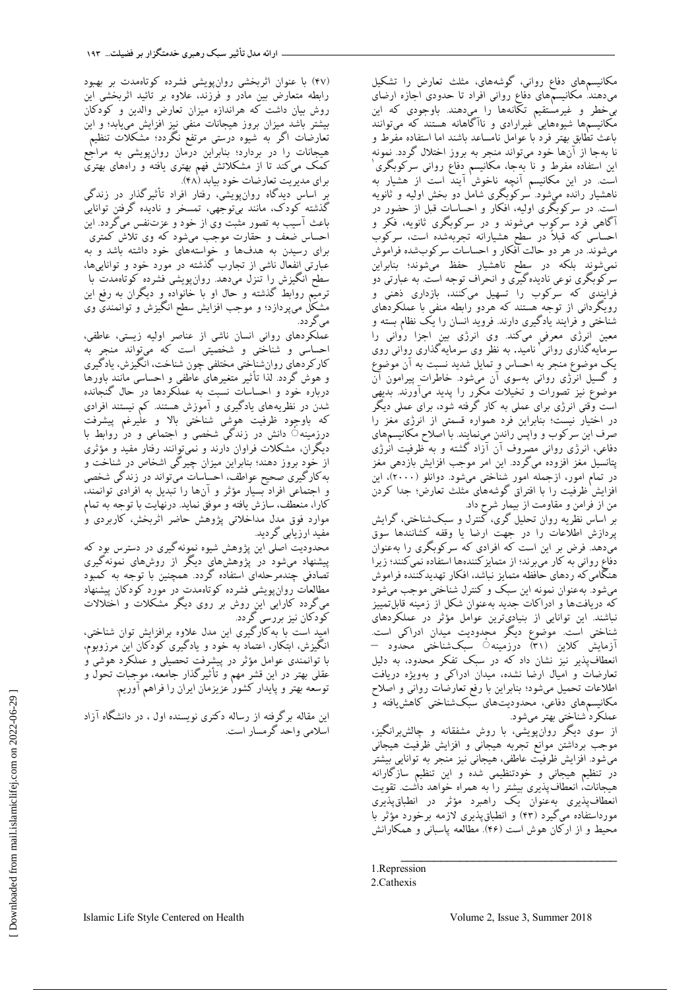مکانیسمهای دفاع روانی، گوشههای، مثلث تعارض را تشکیل میٖدهند' مکانیسمهای دفاع روانی افراد تا حدودی اجازه ارضای بي خطر و غيرمستقيم تكّانهها را ميدهند. باوجودي كه اين مکانیسمها شیوههایی ٰغیرارادی و ناآگاهانه هستند که میتوانند باعث تُطابق بهتر فرد با عوامل نامساعد باشند اما استفاده مفرط و نا بهجا از آنها خود میتواند منجر به بروز اختلال گردد. نمونه اين استفاده مفرط و نا بهِجا، مكانيسم دِفاع روانى سركوبگرى` است. در اين مكانيسم آنچِهِ ناخوش آيند است از هشيار به ناهشیار رانده میشود. سرکوبگری شامل دو بخش اولیه و ثانویه است. در سرکوبگری اولیه، افکار و احساسات قبل از حضور در آگاهی فرد سرکوب میشوند و در سرکوبگری ثانویه، فکر و احساسی که قبلاً در سطح هشیارانه تجربهشده است، سرکوب میشوند. در هر دو حالت آفکار و احساسات سرکوبشده فراموش نمي شوند بلكه در سطح ناهشيار حفظ مي شوند؛ بنابراين سر کوبگری نوعی نادیده گیری و انحراف توجه است. به عبارتی دو فرایندی که سرکوب را تسهیل میکنند، بازداری ذهنی و رویگردانی از توجه هستند که هردو رابطه منفی با عملکردهای شناختی و فرایند یادگیری دارند. فروید انسان را یک نظام بسته و معین انرژی معرفی میکند. وی انرژی بین اجزا روانی را<br>سِرمایهگذاری روانی نامید. به نظر وی سرمایهگذاری رِوانی روی يک موضوع منجر به احساس و تمايل شديد نسبت به آن موضوع و گسیل انرژی روانی بهسوی آن میشود. خاطرات پیرامون آن مُوضُوع نيز تصورات و تخيلات مكرر را پديد ميآورند. بديهي است وقتی انرژی برای عملی به کار گرفته شود، برای عملی دیگر در اختيار نيست؛ بنابراين فرد همواره قسمتي از انرژى مغز را صرف اين سركوب و واپس راندن مىنمايند. با اصلاح مكانيسمهاى دفاعی، انرژی روانی مصروف آن آزاد گشته و به ظرفیت انٰرژی پتانسيل مغز افزوده مىگردد. اين امر موجب افزايش بازدهى مغز در تمام امور، ازجمله امور شناختی میشود. دوانلو (۲۰۰۰)، این افزایش ظرفیت را با افتراق گوشههای مثلث تعارض؛ جدا کردن من از فرامن و مقاومت از بيمار شرح داد.

بر اساس نظريه روان تحليل گرى، كمنترل و سبکشناختى، گرايش پردازش اطلاعات را در جهت ارضا یا وقفه گشانندها سوق میّدهد. فرض بر این است که افرادی که سرگوبکری را بهعنوان دفاع رواني به كار ميبرند؛ از متمايز كنندهها استفاده نمي كنند؛ زيرا هنگامی که ردهای حافظه متمایز نباشد، افکار تهدیدکننده فراموش می شود. به عنوان نمونه این سبک و کنترل شناختی موجب می شود كه دريافتها و ادراكات جديد بهعنوان شكل از زمينه قابلتمييز نباشند. اين توانايي از بنياديترين عوامل مؤثر در عملكردهاي شناختی است. موضوع دیگر محِدودیت میدان ادراکی است. آزمايش كلاين (٣١) درِزمينه۞ سِبكشِناختى محدود – انعطافپذير نيز نشان داد كه در سبک تفکر محدود، به دليل تعارضات و اميال ارضاً نشده، ميدان ادراكي و بهويژه دريافت اطلاعات تحميل مىشود؛ بنابراين با رفع تعارضات روانى و اصلاح مکانيسمهاي دفاعي، محدوديتهاي سُبکشناختي کاهش،افته و عملكرد شناختي بهتر ميشود.

از سوی دیگر روانپویشی، با روش مشفقانه و چالشہرانگیز، موجب برداشتن موانع تجربه هيجاني و افزايش ظرفيت هيجاني میشود. افزایش ظرفیت عاطفی، هیجانی نیز منجر به توانایی بیشتر در تنظیم هیجانی و خودتنظیمی شده و این تنظیم سازگارانه هیجانات، انعطاف پذیری بیشتر را به همراه خواهد داشت. تقویت انعطافپذیری بهعنوان یک راهبرد مؤثر در انطباقپذیری مورداستفاده میگیرد (۴۳) و انطباق پذیری لازمه برخورد مؤثر با محیط و از ارکان هوش است (۴۶). مطالعه پاسبانی و همکارانش

\_\_\_\_\_\_\_\_\_\_\_\_\_\_\_\_\_\_\_\_\_\_\_\_\_\_\_\_\_\_\_\_\_

(۴۷) با عنوان اثربخشی روانِ پویشی فشرده كوتاهمدت بر بهبود رابِطه متعارض بين مادر و فرزند، علاوه بر تائيد اثربخشي اين روش بيان داشت كه هراندازه ميزان تعارض والدين و كودكان بيشتر باشد ميزان بروز هيجانات منفى نيز افزايش مىيابد؛ و اين .. تر .<br>تعارضات اگر به شيوه درستي مرتفع نگردد؛ مشكلات تنظيم هيجانات را در بردارد؛ بنابراين درّمان روانپويشى به مراجع کمک می کند تا از مشکلاتش فهم بهتری یافته و راههای بهتری براي مديريت تعارضات خود بيابد (۴۸).

بر اساس دیدگاه روانپویشی، رفتار افراد تأثیرگذار در زندگی گذشته کودک، مانند بیتوجهی، تمسخر و نادیده گرفتن توانایی باعث آسيب به تصور مثبت وى از خود و عزتنفس مىگردد. اين احساس ضعف و حقارت موجب میشود که وی تلاش کمتری برای رسیدن به هدفها و خواستههای خود داشته باشد و به عبارتی اِنفعال ناشی از تجارب گذشته در مورد خود و تواناییها، سُطح انگیزش را تنزل میٖدهد. روان پویشی فشرده کوتاهمدت با ترمَيّم روابط گذشته و حال او با خانواده و ديگران به رفع اين مشکُل میپردازد؛ و موجب افزایش سطح انگیزش و توانمندی وی می گردد.

عملکردهای روانی انسان ناشی از عناصر اولیه زیستی، عاطفی، احساسی و شناختی و شخصیتی است که میتواند منجر به کار کردهای روانشناختی مختلفی چون شناخت، انگیزش، یادگیری و هوش گردد. لذا تأثیر متغیرهای عاطفی و احساسی مانند باورها درباره خود و احساسات نسبت به عملکردها در حال گنجانده شدن در نظریههای یادگیری و آموزش هستند. کم نیستند افرادی كه باوجود ظرفيت هوشي شناختې بالا و علٰيرغم پيشرفت درزمینه۞ دانش در زندگی شخصی و اجتماعی و در روابط با دیگران، مشكلات فراوان دارند و نمیتوانند رفتار مفید و مؤثری از خوِد بروز دهند؛ بنابراين ميزان چيرگې اشخاص در شناخت و به کارگیری صحیح عواطف، احساسات میتواند در زندگی شخصی و اجتماعی افراد بسیار مؤثر و آنها را تبدیل به افرادی توانمند، كارًا، منعطف، سازش يافته و موفق نمايد. درنهايت با توجه به تمام موارد فوق مدل مداخلاتی پژوهش حاضر اثربخش، كاربردی و مفید ارزیابی گردید.

محدوديت اصلي اين پژوهش شيوه نمونهگيري در دسترس بود که پیشنهاد میشود در پژوهشهای دیگر از روشهای نمونهگیری تصادفی چندمرِ حلهای استفاده گردد. همچنین با توجه به کمبود مطالعات روان يويشى فشرده كوتاهمدت در مورد كودكان پيشنهاد میگردد کارایی این روش بر روی دیگر مشکلات و اختلالات کودکان نیز بررسی گردد.

اميد است با به كارگيري اين مدل علاوه برافزايش توان شناختي، انگیزش، ابتکار، اعتماد به خود و یادگیری کودکان این مرزوبوم، با توانمندی عوامل مؤثر در پیشِرفتِ تحصیلی و عملکرد هوشی و عقلی بهتر در این قشر مهم و تأثیرگذار جامعه، موجبات تحول و توسعه بهتر و پایدار كشور عزیزمان ایران را فراهم اوریم.

اين مقاله برگرفته از رساله دکتری نویسنده اول ، در دانشگاه آزاد اسلامی واحد گرمسار است.

<sup>1</sup>.Repression

<sup>2</sup>.Cathexis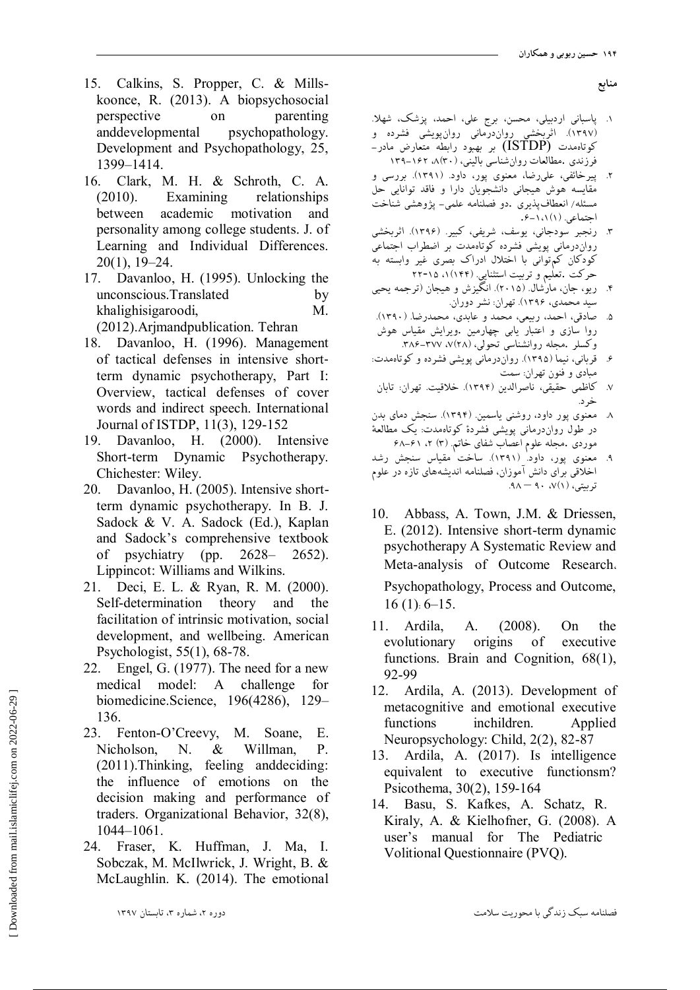- 15. Calkins, S. Propper, C. & Millskoonce, R. (2013). A biopsychosocial perspective on parenting anddevelopmental psychopathology. Development and Psychopathology, 25, 1399–1414.
- 16. Clark, M. H. & Schroth, C. A. (2010). Examining relationships between academic motivation and personality among college students. J. of Learning and Individual Differences. 20(1), 19–24.
- 17. Davanloo, H. (1995). Unlocking the unconscious.Translated by khalighisigaroodi, M. (2012).Arjmandpublication. Tehran
- 18. Davanloo, H. (1996). Management of tactical defenses in intensive short‐ term dynamic psychotherapy, Part I: Overview, tactical defenses of cover words and indirect speech. International Journal of ISTDP, 11(3), 129-152
- 19. Davanloo, H. (2000). Intensive Short-term Dynamic Psychotherapy. Chichester: Wiley.
- 20. Davanloo, H. (2005). Intensive shortterm dynamic psychotherapy. In B. J. Sadock & V. A. Sadock (Ed.), Kaplan and Sadock's comprehensive textbook of psychiatry (pp. 2628– 2652). Lippincot: Williams and Wilkins.
- 21. Deci, E. L. & Ryan, R. M. (2000). Self-determination theory and the facilitation of intrinsic motivation, social development, and wellbeing. American Psychologist, 55(1), 68-78.
- 22. Engel, G. (1977). The need for a new medical model: A challenge for biomedicine.Science, 196(4286), 129– 136.
- 23. Fenton-O'Creevy, M. Soane, E. Nicholson, N. & Willman, P. (2011).Thinking, feeling anddeciding: the influence of emotions on the decision making and performance of traders. Organizational Behavior, 32(8), 1044–1061.
- 24. Fraser, K. Huffman, J. Ma, I. Sobczak, M. McIlwrick, J. Wright, B. & McLaughlin. K. (2014). The emotional
- **هٌببغ**
- ۱. پاسبانی اردبيلي، محسن، برج علي، احمد، پزشک، شهلا. (۱۳۹۷). اثربخشی رواندرمانی روانپویشی فشرده و<br>با این مطلب میزی 2وتاهمدت  $\mathrm{(ISTDP)}$  بر بهبود رابطه متعارض مادر فرزندي .مطالعات روانشناسي باليني، (٣٠)٨، ١٤٢-١٣٩
- ۲. پیرخائفی، علیرضا، معنوی پور، داود. (۱۳۹۱). بررسی و مُقايسه هوش هيجاني دانشجُويان دارا و فاقد توانايي حل مسئله/ انعطافپذیری .دو فصلنامه علمی– پژوهشی شناخت احتماعی (١)١١١-٠۶.
- ۳. رنجبر سودجاني، يوسف، شريفي، كبير. (۱۳۹۶). اثربخشي رواندرمانى پویشى فشرده كوتاهمدت بر اضطراب اجتماعى کودکان کم توانی با اختلال ادراک بصری غیر وابسته به حركت .تعليم و تربيت استثنايي. (١/١٤۴)، ٢٢-٢٢
- ۴. ریو، جان، مارْشال. (۲۰۱۵). انگیزش و هیجان (ترجمه یحیی سيد محمدي، ۱۳۹۶). تهران: نشر دوران.
- ۵. صادقي، احمد، ربيعي، محمد و عابدي، محمدرضا. (١٣٩٠). روا سازي و اعتبار يابي چهارمين .ويرايش مقياس هوش وكسلر .مجله روانشناسي تحولي، (٢٨). ٣٨٧-٣٨۶.
- ۶. قربانی، نیما (۱۳۹۵). رواندرمانی پویشی فشرده و كوتاهمدت: مبادي و فنون تهران: سمت
- ۷. كاظمي حقيقي، ناصرالدين (۱۳۹۴). خلاقيت. تهران: تابان خرد.
- ۸. معنوی پور داود، روشنی یاسمین. (۱۳۹۴). سنجش دمای بدن در طول روانِدرمانی پویشی فشردهٔ کوتاهمدت: یک مطالعهٔ هوردی .مجله علوم اعصاب شفای خاتم. (۳) ۲، ۶۱–۶۸
- معنوی پور، داود (۱۳۹۱). ساخت مقیاس سنجش رشد اخلاقی برای دانش آموزان، فصلنامه اندیشههای تازه در علوم تربيتي، (١)/، ٩٠ – ٩٨.
- 10. Abbass, A. Town, J.M. & Driessen, E. (2012). Intensive short-term dynamic psychotherapy A Systematic Review and Meta-analysis of Outcome Research، Psychopathology, Process and Outcome,  $16(1): 6-15.$
- 11. Ardila, A. (2008). On the evolutionary origins of executive functions. Brain and Cognition, 68(1), 92-99
- 12. Ardila, A. (2013). Development of metacognitive and emotional executive functions inchildren. Applied Neuropsychology: Child, 2(2), 82-87
- 13. Ardila, A. (2017). Is intelligence equivalent to executive functionsm? Psicothema, 30(2), 159-164
- 14. Basu, S. Kafkes, A. Schatz, R. Kiraly, A. & Kielhofner, G. (2008). A user's manual for The Pediatric Volitional Questionnaire (PVQ).